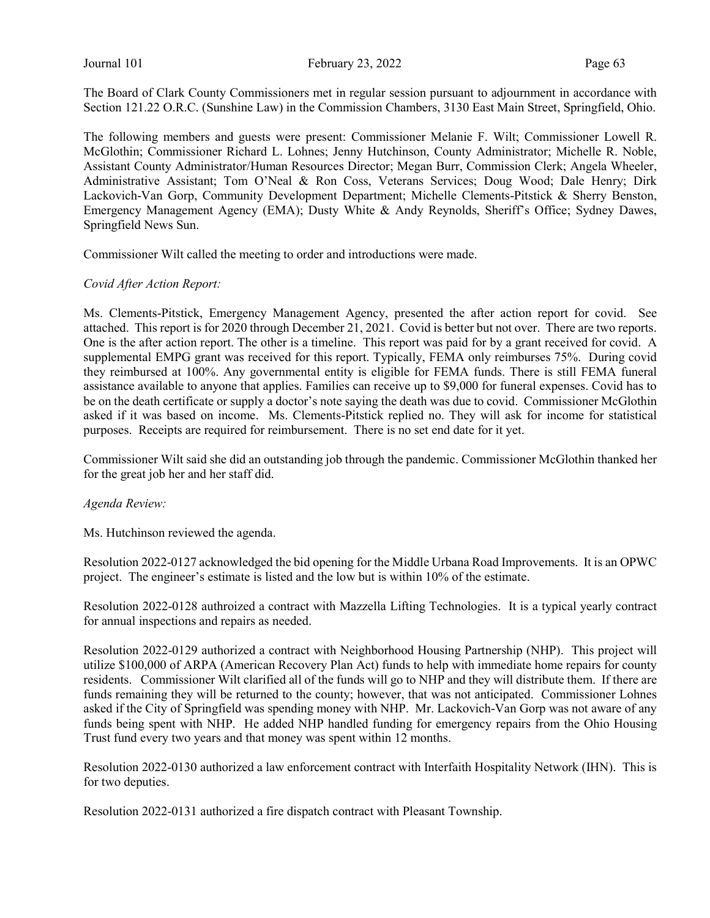The Board of Clark County Commissioners met in regular session pursuant to adjournment in accordance with Section 121.22 O.R.C. (Sunshine Law) in the Commission Chambers, 3130 East Main Street, Springfield, Ohio.

The following members and guests were present: Commissioner Melanie F. Wilt; Commissioner Lowell R. McGlothin; Commissioner Richard L. Lohnes; Jenny Hutchinson, County Administrator; Michelle R. Noble, Assistant County Administrator/Human Resources Director; Megan Burr, Commission Clerk; Angela Wheeler, Administrative Assistant; Tom O'Neal & Ron Coss, Veterans Services; Doug Wood; Dale Henry; Dirk Lackovich-Van Gorp, Community Development Department; Michelle Clements-Pitstick & Sherry Benston, Emergency Management Agency (EMA); Dusty White & Andy Reynolds, Sheriff's Office; Sydney Dawes, Springfield News Sun.

Commissioner Wilt called the meeting to order and introductions were made.

#### Covid After Action Report:

Ms. Clements-Pitstick, Emergency Management Agency, presented the after action report for covid. See attached. This report is for 2020 through December 21, 2021. Covid is better but not over. There are two reports. One is the after action report. The other is a timeline. This report was paid for by a grant received for covid. A supplemental EMPG grant was received for this report. Typically, FEMA only reimburses 75%. During covid they reimbursed at 100%. Any governmental entity is eligible for FEMA funds. There is still FEMA funeral assistance available to anyone that applies. Families can receive up to \$9,000 for funeral expenses. Covid has to be on the death certificate or supply a doctor's note saying the death was due to covid. Commissioner McGlothin asked if it was based on income. Ms. Clements-Pitstick replied no. They will ask for income for statistical purposes. Receipts are required for reimbursement. There is no set end date for it yet.

Commissioner Wilt said she did an outstanding job through the pandemic. Commissioner McGlothin thanked her for the great job her and her staff did.

#### Agenda Review:

Ms. Hutchinson reviewed the agenda.

Resolution 2022-0127 acknowledged the bid opening for the Middle Urbana Road Improvements. It is an OPWC project. The engineer's estimate is listed and the low but is within 10% of the estimate.

Resolution 2022-0128 authroized a contract with Mazzella Lifting Technologies. It is a typical yearly contract for annual inspections and repairs as needed.

Resolution 2022-0129 authorized a contract with Neighborhood Housing Partnership (NHP). This project will utilize \$100,000 of ARPA (American Recovery Plan Act) funds to help with immediate home repairs for county residents. Commissioner Wilt clarified all of the funds will go to NHP and they will distribute them. If there are funds remaining they will be returned to the county; however, that was not anticipated. Commissioner Lohnes asked if the City of Springfield was spending money with NHP. Mr. Lackovich-Van Gorp was not aware of any funds being spent with NHP. He added NHP handled funding for emergency repairs from the Ohio Housing Trust fund every two years and that money was spent within 12 months.

Resolution 2022-0130 authorized a law enforcement contract with Interfaith Hospitality Network (IHN). This is for two deputies.

Resolution 2022-0131 authorized a fire dispatch contract with Pleasant Township.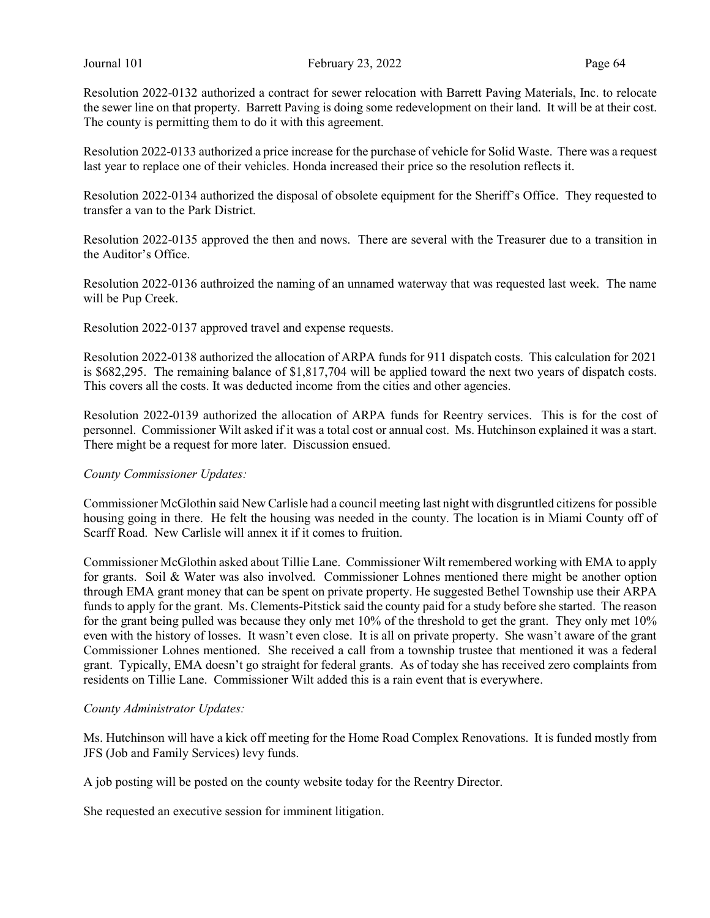Resolution 2022-0132 authorized a contract for sewer relocation with Barrett Paving Materials, Inc. to relocate the sewer line on that property. Barrett Paving is doing some redevelopment on their land. It will be at their cost. The county is permitting them to do it with this agreement.

Resolution 2022-0133 authorized a price increase for the purchase of vehicle for Solid Waste. There was a request last year to replace one of their vehicles. Honda increased their price so the resolution reflects it.

Resolution 2022-0134 authorized the disposal of obsolete equipment for the Sheriff's Office. They requested to transfer a van to the Park District.

Resolution 2022-0135 approved the then and nows. There are several with the Treasurer due to a transition in the Auditor's Office.

Resolution 2022-0136 authroized the naming of an unnamed waterway that was requested last week. The name will be Pup Creek.

Resolution 2022-0137 approved travel and expense requests.

Resolution 2022-0138 authorized the allocation of ARPA funds for 911 dispatch costs. This calculation for 2021 is \$682,295. The remaining balance of \$1,817,704 will be applied toward the next two years of dispatch costs. This covers all the costs. It was deducted income from the cities and other agencies.

Resolution 2022-0139 authorized the allocation of ARPA funds for Reentry services. This is for the cost of personnel. Commissioner Wilt asked if it was a total cost or annual cost. Ms. Hutchinson explained it was a start. There might be a request for more later. Discussion ensued.

#### County Commissioner Updates:

Commissioner McGlothin said New Carlisle had a council meeting last night with disgruntled citizens for possible housing going in there. He felt the housing was needed in the county. The location is in Miami County off of Scarff Road. New Carlisle will annex it if it comes to fruition.

Commissioner McGlothin asked about Tillie Lane. Commissioner Wilt remembered working with EMA to apply for grants. Soil & Water was also involved. Commissioner Lohnes mentioned there might be another option through EMA grant money that can be spent on private property. He suggested Bethel Township use their ARPA funds to apply for the grant. Ms. Clements-Pitstick said the county paid for a study before she started. The reason for the grant being pulled was because they only met 10% of the threshold to get the grant. They only met 10% even with the history of losses. It wasn't even close. It is all on private property. She wasn't aware of the grant Commissioner Lohnes mentioned. She received a call from a township trustee that mentioned it was a federal grant. Typically, EMA doesn't go straight for federal grants. As of today she has received zero complaints from residents on Tillie Lane. Commissioner Wilt added this is a rain event that is everywhere.

#### County Administrator Updates:

Ms. Hutchinson will have a kick off meeting for the Home Road Complex Renovations. It is funded mostly from JFS (Job and Family Services) levy funds.

A job posting will be posted on the county website today for the Reentry Director.

She requested an executive session for imminent litigation.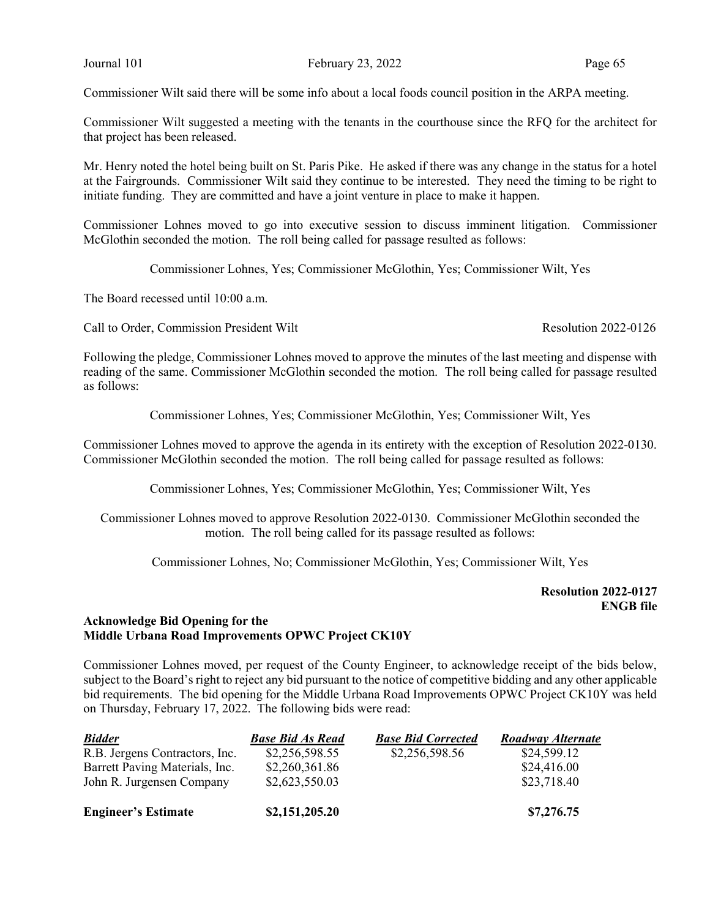Commissioner Wilt said there will be some info about a local foods council position in the ARPA meeting.

Commissioner Wilt suggested a meeting with the tenants in the courthouse since the RFQ for the architect for that project has been released.

Mr. Henry noted the hotel being built on St. Paris Pike. He asked if there was any change in the status for a hotel at the Fairgrounds. Commissioner Wilt said they continue to be interested. They need the timing to be right to initiate funding. They are committed and have a joint venture in place to make it happen.

Commissioner Lohnes moved to go into executive session to discuss imminent litigation. Commissioner McGlothin seconded the motion. The roll being called for passage resulted as follows:

Commissioner Lohnes, Yes; Commissioner McGlothin, Yes; Commissioner Wilt, Yes

The Board recessed until 10:00 a.m.

Call to Order, Commission President Wilt **Resolution 2022-0126** Resolution 2022-0126

Following the pledge, Commissioner Lohnes moved to approve the minutes of the last meeting and dispense with reading of the same. Commissioner McGlothin seconded the motion. The roll being called for passage resulted as follows:

Commissioner Lohnes, Yes; Commissioner McGlothin, Yes; Commissioner Wilt, Yes

Commissioner Lohnes moved to approve the agenda in its entirety with the exception of Resolution 2022-0130. Commissioner McGlothin seconded the motion. The roll being called for passage resulted as follows:

Commissioner Lohnes, Yes; Commissioner McGlothin, Yes; Commissioner Wilt, Yes

Commissioner Lohnes moved to approve Resolution 2022-0130. Commissioner McGlothin seconded the motion. The roll being called for its passage resulted as follows:

Commissioner Lohnes, No; Commissioner McGlothin, Yes; Commissioner Wilt, Yes

Resolution 2022-0127 ENGB file

### Acknowledge Bid Opening for the Middle Urbana Road Improvements OPWC Project CK10Y

Commissioner Lohnes moved, per request of the County Engineer, to acknowledge receipt of the bids below, subject to the Board's right to reject any bid pursuant to the notice of competitive bidding and any other applicable bid requirements. The bid opening for the Middle Urbana Road Improvements OPWC Project CK10Y was held on Thursday, February 17, 2022. The following bids were read:

| <b>Bidder</b>                  | <b>Base Bid As Read</b> | <b>Base Bid Corrected</b> | Roadway Alternate |
|--------------------------------|-------------------------|---------------------------|-------------------|
| R.B. Jergens Contractors, Inc. | \$2,256,598.55          | \$2,256,598.56            | \$24,599.12       |
| Barrett Paving Materials, Inc. | \$2,260,361.86          |                           | \$24,416.00       |
| John R. Jurgensen Company      | \$2,623,550.03          |                           | \$23,718.40       |
| <b>Engineer's Estimate</b>     | \$2,151,205.20          |                           | \$7,276.75        |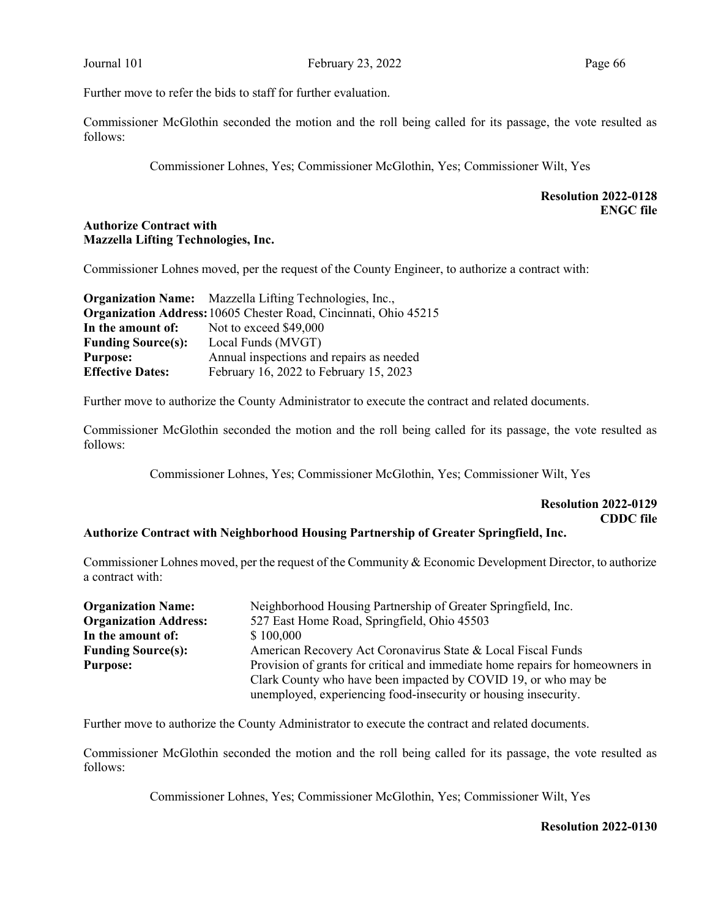Further move to refer the bids to staff for further evaluation.

Commissioner McGlothin seconded the motion and the roll being called for its passage, the vote resulted as follows:

Commissioner Lohnes, Yes; Commissioner McGlothin, Yes; Commissioner Wilt, Yes

# Resolution 2022-0128 ENGC file

# Authorize Contract with Mazzella Lifting Technologies, Inc.

Commissioner Lohnes moved, per the request of the County Engineer, to authorize a contract with:

|                           | <b>Organization Name:</b> Mazzella Lifting Technologies, Inc.,   |  |  |
|---------------------------|------------------------------------------------------------------|--|--|
|                           | Organization Address: 10605 Chester Road, Cincinnati, Ohio 45215 |  |  |
| In the amount of:         | Not to exceed \$49,000                                           |  |  |
| <b>Funding Source(s):</b> | Local Funds (MVGT)                                               |  |  |
| <b>Purpose:</b>           | Annual inspections and repairs as needed                         |  |  |
| <b>Effective Dates:</b>   | February 16, 2022 to February 15, 2023                           |  |  |

Further move to authorize the County Administrator to execute the contract and related documents.

Commissioner McGlothin seconded the motion and the roll being called for its passage, the vote resulted as follows:

Commissioner Lohnes, Yes; Commissioner McGlothin, Yes; Commissioner Wilt, Yes

# Resolution 2022-0129 CDDC file

#### Authorize Contract with Neighborhood Housing Partnership of Greater Springfield, Inc.

Commissioner Lohnes moved, per the request of the Community & Economic Development Director, to authorize a contract with:

| <b>Organization Name:</b>    | Neighborhood Housing Partnership of Greater Springfield, Inc.                 |
|------------------------------|-------------------------------------------------------------------------------|
| <b>Organization Address:</b> | 527 East Home Road, Springfield, Ohio 45503                                   |
| In the amount of:            | \$100,000                                                                     |
| <b>Funding Source(s):</b>    | American Recovery Act Coronavirus State & Local Fiscal Funds                  |
| <b>Purpose:</b>              | Provision of grants for critical and immediate home repairs for homeowners in |
|                              | Clark County who have been impacted by COVID 19, or who may be                |
|                              | unemployed, experiencing food-insecurity or housing insecurity.               |

Further move to authorize the County Administrator to execute the contract and related documents.

Commissioner McGlothin seconded the motion and the roll being called for its passage, the vote resulted as follows:

Commissioner Lohnes, Yes; Commissioner McGlothin, Yes; Commissioner Wilt, Yes

#### Resolution 2022-0130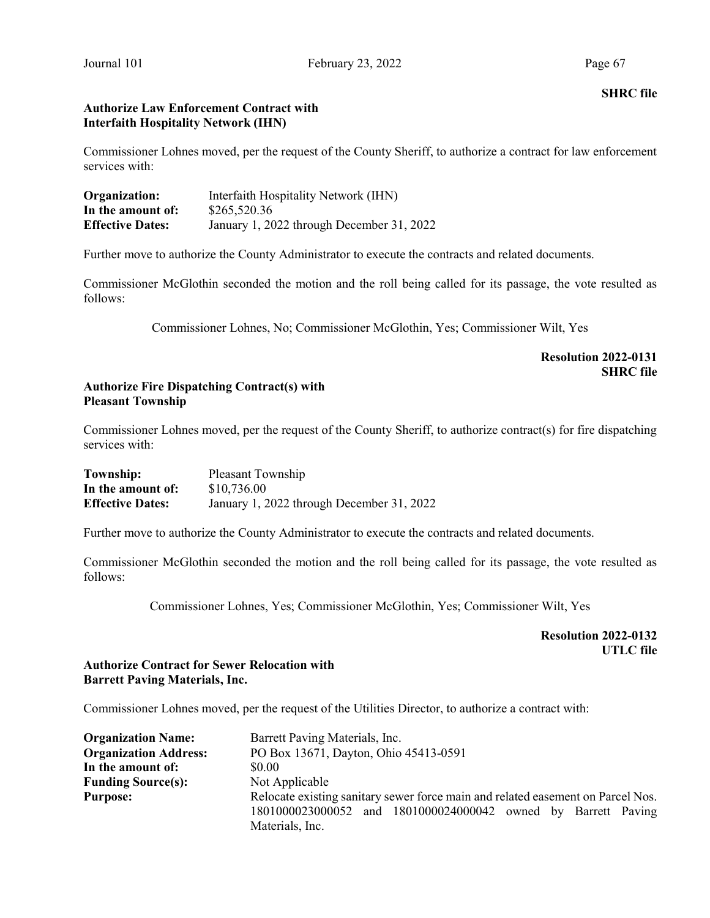# Authorize Law Enforcement Contract with Interfaith Hospitality Network (IHN)

Commissioner Lohnes moved, per the request of the County Sheriff, to authorize a contract for law enforcement services with:

| Organization:           | Interfaith Hospitality Network (IHN)      |
|-------------------------|-------------------------------------------|
| In the amount of:       | \$265,520.36                              |
| <b>Effective Dates:</b> | January 1, 2022 through December 31, 2022 |

Further move to authorize the County Administrator to execute the contracts and related documents.

Commissioner McGlothin seconded the motion and the roll being called for its passage, the vote resulted as follows:

Commissioner Lohnes, No; Commissioner McGlothin, Yes; Commissioner Wilt, Yes

# Resolution 2022-0131 SHRC file

# Authorize Fire Dispatching Contract(s) with Pleasant Township

Commissioner Lohnes moved, per the request of the County Sheriff, to authorize contract(s) for fire dispatching services with:

| Township:               | Pleasant Township                         |
|-------------------------|-------------------------------------------|
| In the amount of:       | \$10,736.00                               |
| <b>Effective Dates:</b> | January 1, 2022 through December 31, 2022 |

Further move to authorize the County Administrator to execute the contracts and related documents.

Commissioner McGlothin seconded the motion and the roll being called for its passage, the vote resulted as follows:

Commissioner Lohnes, Yes; Commissioner McGlothin, Yes; Commissioner Wilt, Yes

Resolution 2022-0132 UTLC file

# Authorize Contract for Sewer Relocation with Barrett Paving Materials, Inc.

Commissioner Lohnes moved, per the request of the Utilities Director, to authorize a contract with:

| <b>Organization Name:</b>    | Barrett Paving Materials, Inc.                                                  |  |  |  |  |
|------------------------------|---------------------------------------------------------------------------------|--|--|--|--|
| <b>Organization Address:</b> | PO Box 13671, Dayton, Ohio 45413-0591                                           |  |  |  |  |
| In the amount of:            | \$0.00                                                                          |  |  |  |  |
| <b>Funding Source(s):</b>    | Not Applicable                                                                  |  |  |  |  |
| <b>Purpose:</b>              | Relocate existing sanitary sewer force main and related easement on Parcel Nos. |  |  |  |  |
|                              | 1801000023000052 and 1801000024000042 owned by Barrett Paving                   |  |  |  |  |
|                              | Materials, Inc.                                                                 |  |  |  |  |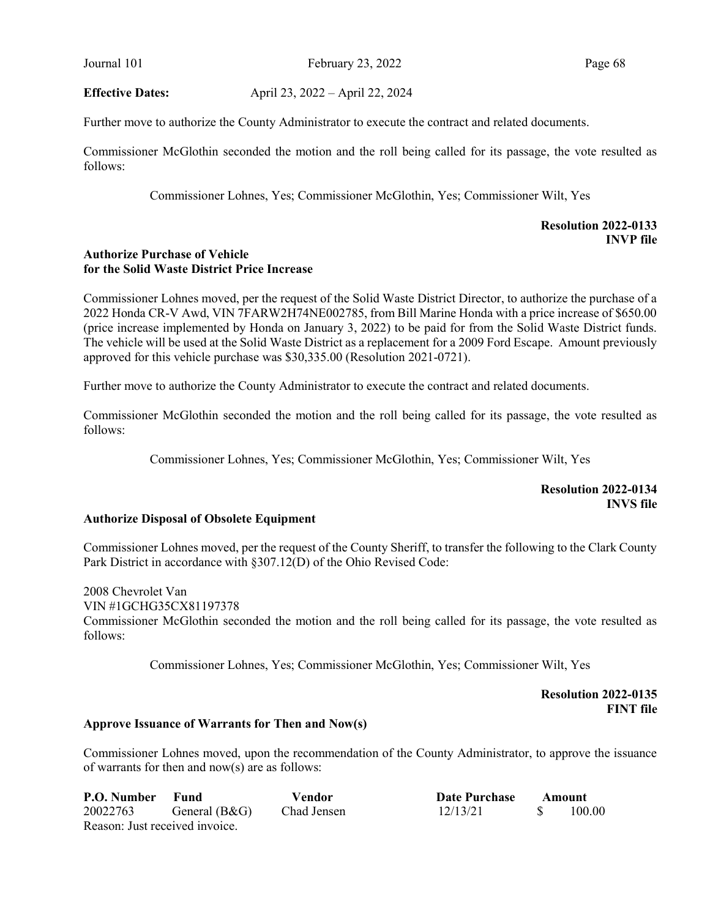Journal 101 February 23, 2022 Page 68

Effective Dates: April 23, 2022 – April 22, 2024

Further move to authorize the County Administrator to execute the contract and related documents.

Commissioner McGlothin seconded the motion and the roll being called for its passage, the vote resulted as follows:

Commissioner Lohnes, Yes; Commissioner McGlothin, Yes; Commissioner Wilt, Yes

# Resolution 2022-0133 INVP file

# Authorize Purchase of Vehicle for the Solid Waste District Price Increase

Commissioner Lohnes moved, per the request of the Solid Waste District Director, to authorize the purchase of a 2022 Honda CR-V Awd, VIN 7FARW2H74NE002785, from Bill Marine Honda with a price increase of \$650.00 (price increase implemented by Honda on January 3, 2022) to be paid for from the Solid Waste District funds. The vehicle will be used at the Solid Waste District as a replacement for a 2009 Ford Escape. Amount previously approved for this vehicle purchase was \$30,335.00 (Resolution 2021-0721).

Further move to authorize the County Administrator to execute the contract and related documents.

Commissioner McGlothin seconded the motion and the roll being called for its passage, the vote resulted as follows:

Commissioner Lohnes, Yes; Commissioner McGlothin, Yes; Commissioner Wilt, Yes

Resolution 2022-0134 INVS file

# Authorize Disposal of Obsolete Equipment

Commissioner Lohnes moved, per the request of the County Sheriff, to transfer the following to the Clark County Park District in accordance with §307.12(D) of the Ohio Revised Code:

2008 Chevrolet Van VIN #1GCHG35CX81197378 Commissioner McGlothin seconded the motion and the roll being called for its passage, the vote resulted as follows:

Commissioner Lohnes, Yes; Commissioner McGlothin, Yes; Commissioner Wilt, Yes

 Resolution 2022-0135 FINT file

#### Approve Issuance of Warrants for Then and Now(s)

Commissioner Lohnes moved, upon the recommendation of the County Administrator, to approve the issuance of warrants for then and now(s) are as follows:

| <b>P.O. Number</b> Fund        |               | Vendor      | Date Purchase | Amount |        |
|--------------------------------|---------------|-------------|---------------|--------|--------|
| 20022763                       | General (B&G) | Chad Jensen | 12/13/21      |        | 100.00 |
| Reason: Just received invoice. |               |             |               |        |        |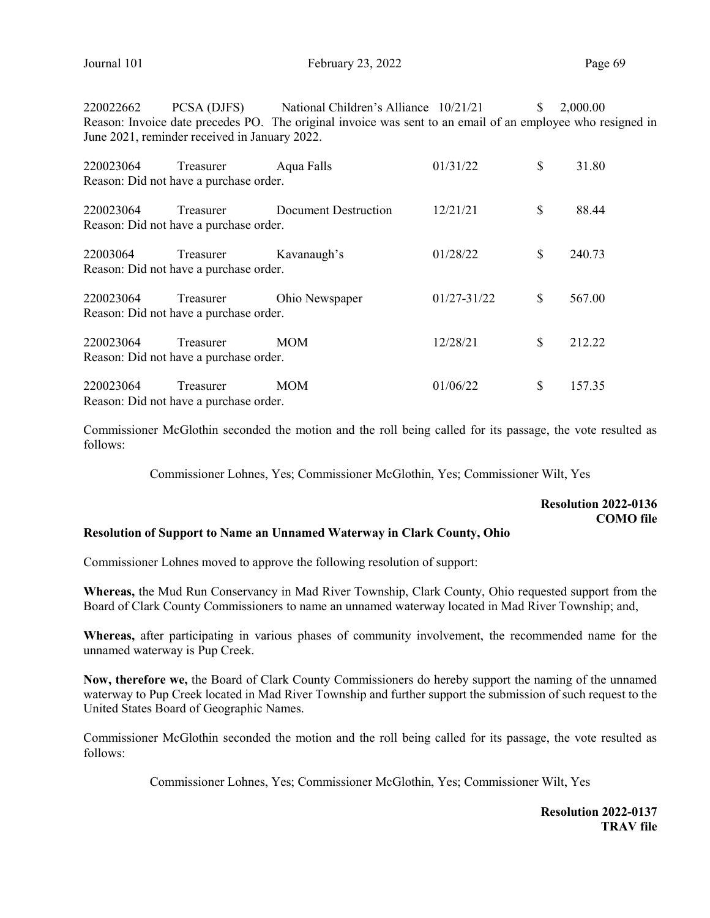220022662 PCSA (DJFS) National Children's Alliance 10/21/21 \$ 2,000.00 Reason: Invoice date precedes PO. The original invoice was sent to an email of an employee who resigned in June 2021, reminder received in January 2022.

| 220023064 | Treasurer                                           | Aqua Falls                  | 01/31/22    | \$<br>31.80  |
|-----------|-----------------------------------------------------|-----------------------------|-------------|--------------|
|           | Reason: Did not have a purchase order.              |                             |             |              |
| 220023064 | Treasurer<br>Reason: Did not have a purchase order. | <b>Document Destruction</b> | 12/21/21    | \$<br>88.44  |
| 22003064  | Treasurer<br>Reason: Did not have a purchase order. | Kavanaugh's                 | 01/28/22    | \$<br>240.73 |
| 220023064 | Treasurer<br>Reason: Did not have a purchase order. | Ohio Newspaper              | 01/27-31/22 | \$<br>567.00 |
| 220023064 | Treasurer<br>Reason: Did not have a purchase order. | <b>MOM</b>                  | 12/28/21    | \$<br>212.22 |
| 220023064 | Treasurer<br>Reason: Did not have a purchase order. | <b>MOM</b>                  | 01/06/22    | \$<br>157.35 |

Commissioner McGlothin seconded the motion and the roll being called for its passage, the vote resulted as follows:

Commissioner Lohnes, Yes; Commissioner McGlothin, Yes; Commissioner Wilt, Yes

# Resolution 2022-0136 COMO file

#### Resolution of Support to Name an Unnamed Waterway in Clark County, Ohio

Commissioner Lohnes moved to approve the following resolution of support:

Whereas, the Mud Run Conservancy in Mad River Township, Clark County, Ohio requested support from the Board of Clark County Commissioners to name an unnamed waterway located in Mad River Township; and,

Whereas, after participating in various phases of community involvement, the recommended name for the unnamed waterway is Pup Creek.

Now, therefore we, the Board of Clark County Commissioners do hereby support the naming of the unnamed waterway to Pup Creek located in Mad River Township and further support the submission of such request to the United States Board of Geographic Names.

Commissioner McGlothin seconded the motion and the roll being called for its passage, the vote resulted as follows:

Commissioner Lohnes, Yes; Commissioner McGlothin, Yes; Commissioner Wilt, Yes

Resolution 2022-0137 TRAV file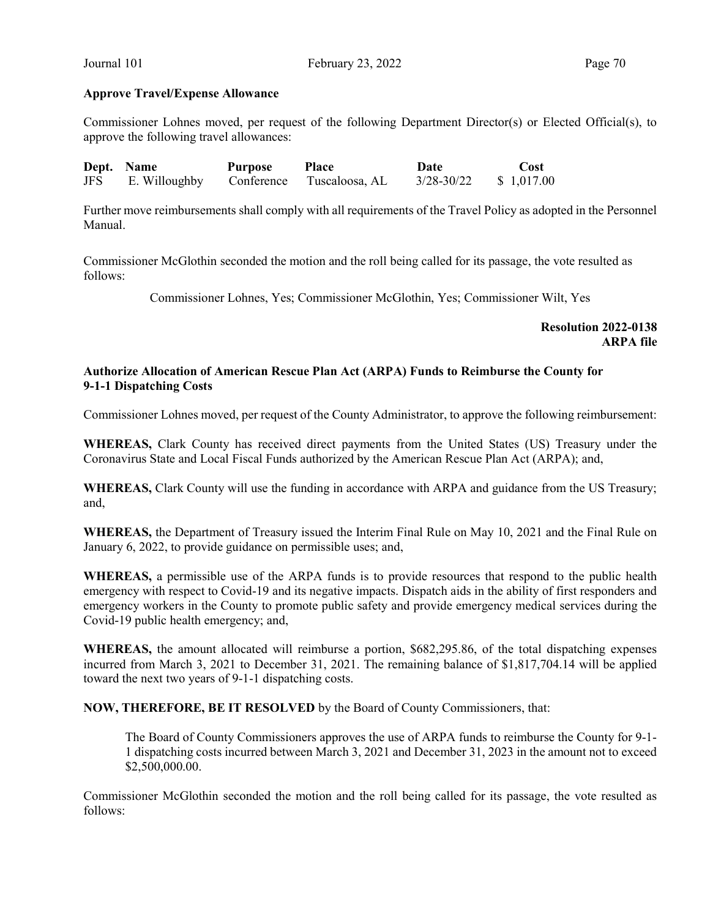#### Approve Travel/Expense Allowance

Commissioner Lohnes moved, per request of the following Department Director(s) or Elected Official(s), to approve the following travel allowances:

|     | Dept. Name    | <b>Purpose</b> | <b>Place</b>              | Date           | <b>Cost</b> |
|-----|---------------|----------------|---------------------------|----------------|-------------|
| JFS | E. Willoughby |                | Conference Tuscaloosa, AL | $3/28 - 30/22$ | \$1,017.00  |

Further move reimbursements shall comply with all requirements of the Travel Policy as adopted in the Personnel Manual.

Commissioner McGlothin seconded the motion and the roll being called for its passage, the vote resulted as follows:

Commissioner Lohnes, Yes; Commissioner McGlothin, Yes; Commissioner Wilt, Yes

Resolution 2022-0138 ARPA file

# Authorize Allocation of American Rescue Plan Act (ARPA) Funds to Reimburse the County for 9-1-1 Dispatching Costs

Commissioner Lohnes moved, per request of the County Administrator, to approve the following reimbursement:

WHEREAS, Clark County has received direct payments from the United States (US) Treasury under the Coronavirus State and Local Fiscal Funds authorized by the American Rescue Plan Act (ARPA); and,

WHEREAS, Clark County will use the funding in accordance with ARPA and guidance from the US Treasury; and,

WHEREAS, the Department of Treasury issued the Interim Final Rule on May 10, 2021 and the Final Rule on January 6, 2022, to provide guidance on permissible uses; and,

WHEREAS, a permissible use of the ARPA funds is to provide resources that respond to the public health emergency with respect to Covid-19 and its negative impacts. Dispatch aids in the ability of first responders and emergency workers in the County to promote public safety and provide emergency medical services during the Covid-19 public health emergency; and,

WHEREAS, the amount allocated will reimburse a portion, \$682,295.86, of the total dispatching expenses incurred from March 3, 2021 to December 31, 2021. The remaining balance of \$1,817,704.14 will be applied toward the next two years of 9-1-1 dispatching costs.

NOW, THEREFORE, BE IT RESOLVED by the Board of County Commissioners, that:

The Board of County Commissioners approves the use of ARPA funds to reimburse the County for 9-1- 1 dispatching costs incurred between March 3, 2021 and December 31, 2023 in the amount not to exceed \$2,500,000.00.

Commissioner McGlothin seconded the motion and the roll being called for its passage, the vote resulted as follows: